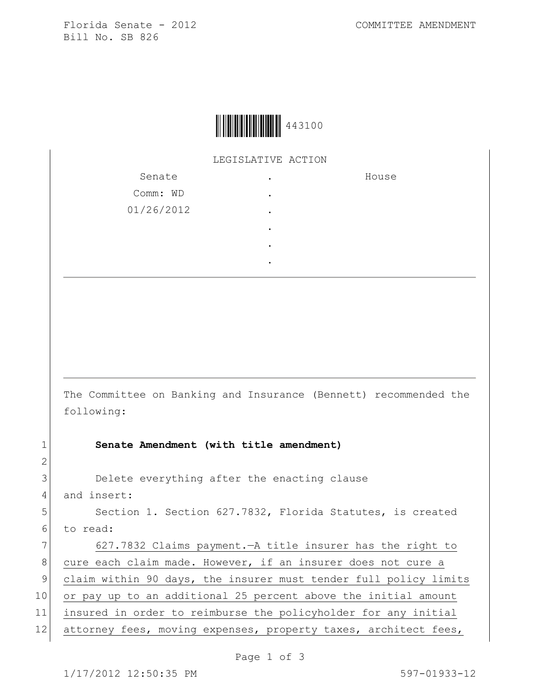

LEGISLATIVE ACTION

| Senate     | ٠ | House |
|------------|---|-------|
| Comm: WD   | ٠ |       |
| 01/26/2012 | ٠ |       |
|            | ٠ |       |
|            | ٠ |       |
|            |   |       |

The Committee on Banking and Insurance (Bennett) recommended the following:

1 **Senate Amendment (with title amendment)**

3 Delete everything after the enacting clause

4 and insert:

2

5 Section 1. Section 627.7832, Florida Statutes, is created 6 to read:

7 627.7832 Claims payment. - A title insurer has the right to 8 cure each claim made. However, if an insurer does not cure a 9 claim within 90 days, the insurer must tender full policy limits 10 or pay up to an additional 25 percent above the initial amount 11 insured in order to reimburse the policyholder for any initial

12 attorney fees, moving expenses, property taxes, architect fees,

Page 1 of 3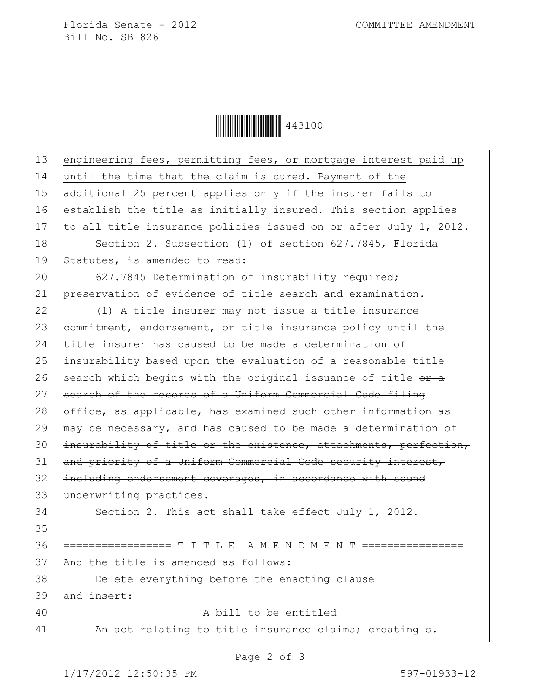Florida Senate - 2012 COMMITTEE AMENDMENT Bill No. SB 826

Ì443100UÎ443100

| 13 | engineering fees, permitting fees, or mortgage interest paid up  |  |  |
|----|------------------------------------------------------------------|--|--|
| 14 | until the time that the claim is cured. Payment of the           |  |  |
| 15 | additional 25 percent applies only if the insurer fails to       |  |  |
| 16 | establish the title as initially insured. This section applies   |  |  |
| 17 | to all title insurance policies issued on or after July 1, 2012. |  |  |
| 18 | Section 2. Subsection (1) of section 627.7845, Florida           |  |  |
| 19 | Statutes, is amended to read:                                    |  |  |
| 20 | 627.7845 Determination of insurability required;                 |  |  |
| 21 | preservation of evidence of title search and examination.-       |  |  |
| 22 | (1) A title insurer may not issue a title insurance              |  |  |
| 23 | commitment, endorsement, or title insurance policy until the     |  |  |
| 24 | title insurer has caused to be made a determination of           |  |  |
| 25 | insurability based upon the evaluation of a reasonable title     |  |  |
| 26 | search which begins with the original issuance of title or a     |  |  |
| 27 | search of the records of a Uniform Commercial Code filing        |  |  |
| 28 | office, as applicable, has examined such other information as    |  |  |
| 29 | may be necessary, and has caused to be made a determination of   |  |  |
| 30 | insurability of title or the existence, attachments, perfection, |  |  |
| 31 | and priority of a Uniform Commercial Code security interest,     |  |  |
| 32 | including endorsement coverages, in accordance with sound        |  |  |
| 33 | underwriting practices.                                          |  |  |
| 34 | Section 2. This act shall take effect July 1, 2012.              |  |  |
| 35 |                                                                  |  |  |
| 36 | ================= T I T L E A M E N D M E N T ================   |  |  |
| 37 | And the title is amended as follows:                             |  |  |
| 38 | Delete everything before the enacting clause                     |  |  |
| 39 | and insert:                                                      |  |  |
| 40 | A bill to be entitled                                            |  |  |
| 41 | An act relating to title insurance claims; creating s.           |  |  |
|    |                                                                  |  |  |

Page 2 of 3